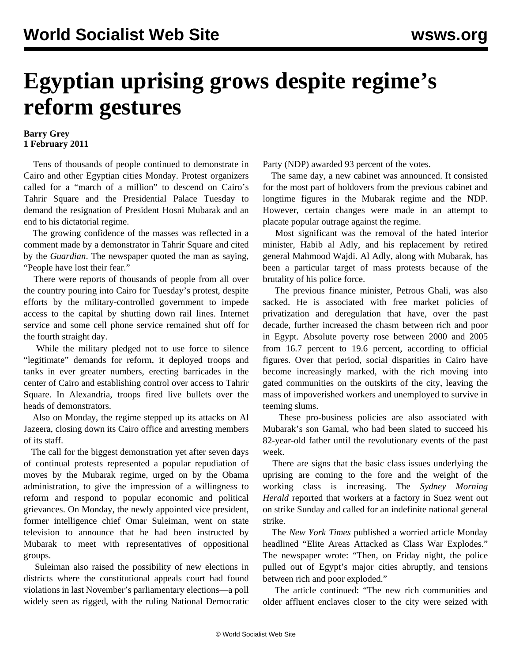## **Egyptian uprising grows despite regime's reform gestures**

## **Barry Grey 1 February 2011**

 Tens of thousands of people continued to demonstrate in Cairo and other Egyptian cities Monday. Protest organizers called for a "march of a million" to descend on Cairo's Tahrir Square and the Presidential Palace Tuesday to demand the resignation of President Hosni Mubarak and an end to his dictatorial regime.

 The growing confidence of the masses was reflected in a comment made by a demonstrator in Tahrir Square and cited by the *Guardian*. The newspaper quoted the man as saying, "People have lost their fear."

 There were reports of thousands of people from all over the country pouring into Cairo for Tuesday's protest, despite efforts by the military-controlled government to impede access to the capital by shutting down rail lines. Internet service and some cell phone service remained shut off for the fourth straight day.

 While the military pledged not to use force to silence "legitimate" demands for reform, it deployed troops and tanks in ever greater numbers, erecting barricades in the center of Cairo and establishing control over access to Tahrir Square. In Alexandria, troops fired live bullets over the heads of demonstrators.

 Also on Monday, the regime stepped up its attacks on Al Jazeera, closing down its Cairo office and arresting members of its staff.

 The call for the biggest demonstration yet after seven days of continual protests represented a popular repudiation of moves by the Mubarak regime, urged on by the Obama administration, to give the impression of a willingness to reform and respond to popular economic and political grievances. On Monday, the newly appointed vice president, former intelligence chief Omar Suleiman, went on state television to announce that he had been instructed by Mubarak to meet with representatives of oppositional groups.

 Suleiman also raised the possibility of new elections in districts where the constitutional appeals court had found violations in last November's parliamentary elections—a poll widely seen as rigged, with the ruling National Democratic Party (NDP) awarded 93 percent of the votes.

 The same day, a new cabinet was announced. It consisted for the most part of holdovers from the previous cabinet and longtime figures in the Mubarak regime and the NDP. However, certain changes were made in an attempt to placate popular outrage against the regime.

 Most significant was the removal of the hated interior minister, Habib al Adly, and his replacement by retired general Mahmood Wajdi. Al Adly, along with Mubarak, has been a particular target of mass protests because of the brutality of his police force.

 The previous finance minister, Petrous Ghali, was also sacked. He is associated with free market policies of privatization and deregulation that have, over the past decade, further increased the chasm between rich and poor in Egypt. Absolute poverty rose between 2000 and 2005 from 16.7 percent to 19.6 percent, according to official figures. Over that period, social disparities in Cairo have become increasingly marked, with the rich moving into gated communities on the outskirts of the city, leaving the mass of impoverished workers and unemployed to survive in teeming slums.

 These pro-business policies are also associated with Mubarak's son Gamal, who had been slated to succeed his 82-year-old father until the revolutionary events of the past week.

 There are signs that the basic class issues underlying the uprising are coming to the fore and the weight of the working class is increasing. The *Sydney Morning Herald* reported that workers at a factory in Suez went out on strike Sunday and called for an indefinite national general strike.

 The *New York Times* published a worried article Monday headlined "Elite Areas Attacked as Class War Explodes." The newspaper wrote: "Then, on Friday night, the police pulled out of Egypt's major cities abruptly, and tensions between rich and poor exploded."

 The article continued: "The new rich communities and older affluent enclaves closer to the city were seized with